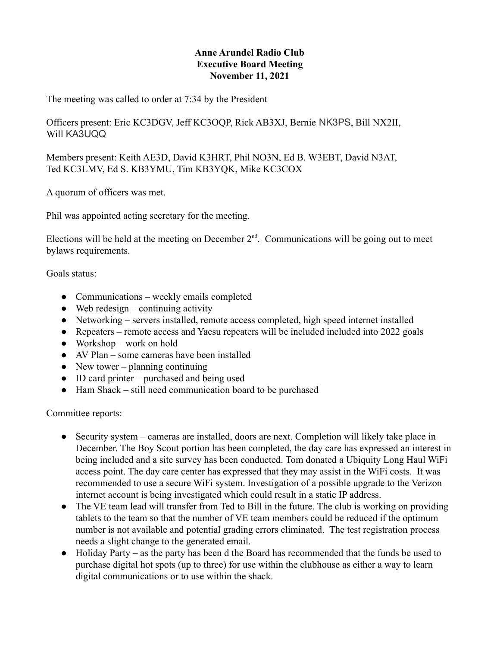## **Anne Arundel Radio Club Executive Board Meeting November 11, 2021**

The meeting was called to order at 7:34 by the President

Officers present: Eric KC3DGV, Jeff KC3OQP, Rick AB3XJ, Bernie NK3PS, Bill NX2II, Will KA3UQQ

Members present: Keith AE3D, David K3HRT, Phil NO3N, Ed B. W3EBT, David N3AT, Ted KC3LMV, Ed S. KB3YMU, Tim KB3YQK, Mike KC3COX

A quorum of officers was met.

Phil was appointed acting secretary for the meeting.

Elections will be held at the meeting on December  $2<sup>nd</sup>$ . Communications will be going out to meet bylaws requirements.

Goals status:

- Communications weekly emails completed
- $\bullet$  Web redesign continuing activity
- Networking servers installed, remote access completed, high speed internet installed
- Repeaters remote access and Yaesu repeaters will be included included into 2022 goals
- $\bullet$  Workshop work on hold
- AV Plan some cameras have been installed
- $\bullet$  New tower planning continuing
- ID card printer purchased and being used
- Ham Shack still need communication board to be purchased

Committee reports:

- Security system cameras are installed, doors are next. Completion will likely take place in December. The Boy Scout portion has been completed, the day care has expressed an interest in being included and a site survey has been conducted. Tom donated a Ubiquity Long Haul WiFi access point. The day care center has expressed that they may assist in the WiFi costs. It was recommended to use a secure WiFi system. Investigation of a possible upgrade to the Verizon internet account is being investigated which could result in a static IP address.
- The VE team lead will transfer from Ted to Bill in the future. The club is working on providing tablets to the team so that the number of VE team members could be reduced if the optimum number is not available and potential grading errors eliminated. The test registration process needs a slight change to the generated email.
- Holiday Party as the party has been d the Board has recommended that the funds be used to purchase digital hot spots (up to three) for use within the clubhouse as either a way to learn digital communications or to use within the shack.